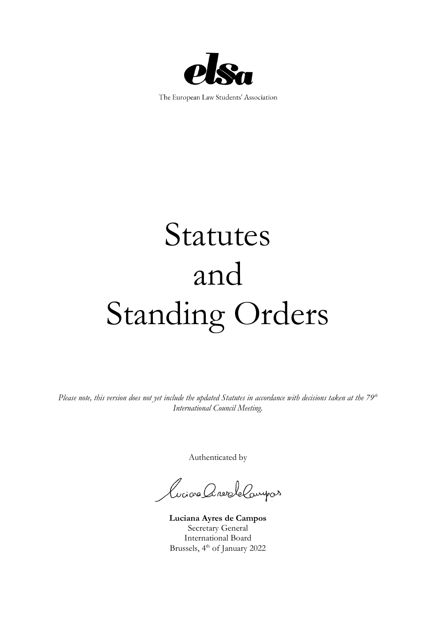

The European Law Students' Association

# Statutes and Standing Orders

*Please note, this version does not yet include the updated Statutes in accordance with decisions taken at the 79th International Council Meeting.*

Authenticated by

Luciona CaravaleCompas

**Luciana Ayres de Campos** Secretary General International Board Brussels, 4<sup>th</sup> of January 2022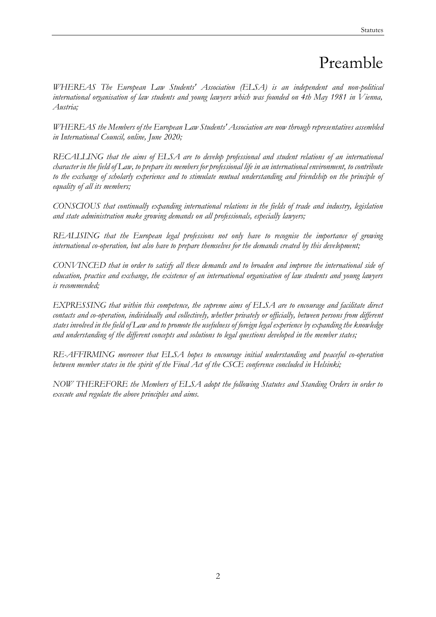# Preamble

*WHEREAS The European Law Students' Association (ELSA) is an independent and non-political international organisation of law students and young lawyers which was founded on 4th May 1981 in Vienna, Austria;*

*WHEREAS the Members of the European Law Students' Association are now through representatives assembled in International Council, online, June 2020;* 

*RECALLING that the aims of ELSA are to develop professional and student relations of an international character in the field of Law, to prepare its members for professional life in an international environment, to contribute*  to the exchange of scholarly experience and to stimulate mutual understanding and friendship on the principle of *equality of all its members;* 

*CONSCIOUS that continually expanding international relations in the fields of trade and industry, legislation and state administration make growing demands on all professionals, especially lawyers;* 

*REALISING that the European legal professions not only have to recognise the importance of growing international co-operation, but also have to prepare themselves for the demands created by this development;* 

*CONVINCED that in order to satisfy all these demands and to broaden and improve the international side of education, practice and exchange, the existence of an international organisation of law students and young lawyers is recommended;* 

*EXPRESSING that within this competence, the supreme aims of ELSA are to encourage and facilitate direct contacts and co-operation, individually and collectively, whether privately or officially, between persons from different states involved in the field of Law and to promote the usefulness of foreign legal experience by expanding the knowledge and understanding of the different concepts and solutions to legal questions developed in the member states;* 

*RE-AFFIRMING moreover that ELSA hopes to encourage initial understanding and peaceful co-operation between member states in the spirit of the Final Act of the CSCE conference concluded in Helsinki;* 

*NOW THEREFORE the Members of ELSA adopt the following Statutes and Standing Orders in order to execute and regulate the above principles and aims.*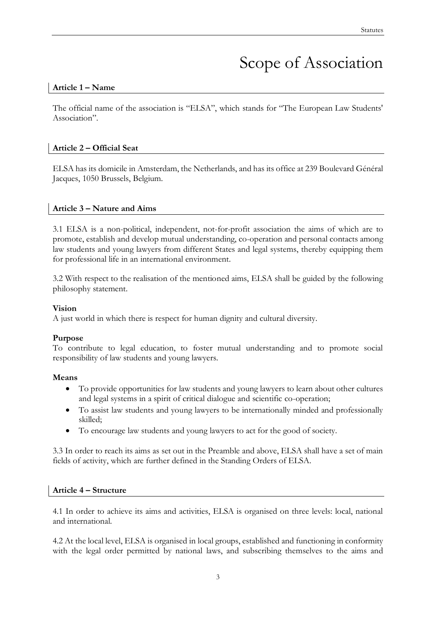# Scope of Association

#### **Article 1 – Name**

The official name of the association is "ELSA", which stands for "The European Law Students' Association".

#### **Article 2 – Official Seat**

ELSA has its domicile in Amsterdam, the Netherlands, and has its office at 239 Boulevard Général Jacques, 1050 Brussels, Belgium.

#### **Article 3 – Nature and Aims**

3.1 ELSA is a non-political, independent, not-for-profit association the aims of which are to promote, establish and develop mutual understanding, co-operation and personal contacts among law students and young lawyers from different States and legal systems, thereby equipping them for professional life in an international environment.

3.2 With respect to the realisation of the mentioned aims, ELSA shall be guided by the following philosophy statement.

#### **Vision**

A just world in which there is respect for human dignity and cultural diversity.

#### **Purpose**

To contribute to legal education, to foster mutual understanding and to promote social responsibility of law students and young lawyers.

#### **Means**

- To provide opportunities for law students and young lawyers to learn about other cultures and legal systems in a spirit of critical dialogue and scientific co-operation;
- To assist law students and young lawyers to be internationally minded and professionally skilled;
- To encourage law students and young lawyers to act for the good of society.

3.3 In order to reach its aims as set out in the Preamble and above, ELSA shall have a set of main fields of activity, which are further defined in the Standing Orders of ELSA.

#### **Article 4 – Structure**

4.1 In order to achieve its aims and activities, ELSA is organised on three levels: local, national and international.

4.2 At the local level, ELSA is organised in local groups, established and functioning in conformity with the legal order permitted by national laws, and subscribing themselves to the aims and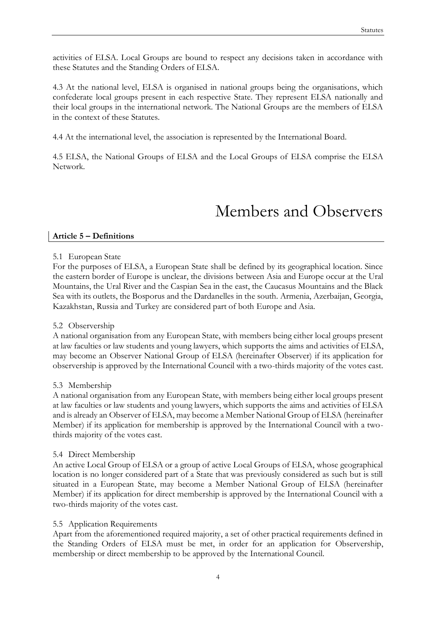activities of ELSA. Local Groups are bound to respect any decisions taken in accordance with these Statutes and the Standing Orders of ELSA.

4.3 At the national level, ELSA is organised in national groups being the organisations, which confederate local groups present in each respective State. They represent ELSA nationally and their local groups in the international network. The National Groups are the members of ELSA in the context of these Statutes.

4.4 At the international level, the association is represented by the International Board.

4.5 ELSA, the National Groups of ELSA and the Local Groups of ELSA comprise the ELSA Network.

# Members and Observers

#### **Article 5 – Definitions**

#### 5.1 European State

For the purposes of ELSA, a European State shall be defined by its geographical location. Since the eastern border of Europe is unclear, the divisions between Asia and Europe occur at the Ural Mountains, the Ural River and the Caspian Sea in the east, the Caucasus Mountains and the Black Sea with its outlets, the Bosporus and the Dardanelles in the south. Armenia, Azerbaijan, Georgia, Kazakhstan, Russia and Turkey are considered part of both Europe and Asia.

#### 5.2 Observership

A national organisation from any European State, with members being either local groups present at law faculties or law students and young lawyers, which supports the aims and activities of ELSA, may become an Observer National Group of ELSA (hereinafter Observer) if its application for observership is approved by the International Council with a two-thirds majority of the votes cast.

#### 5.3 Membership

A national organisation from any European State, with members being either local groups present at law faculties or law students and young lawyers, which supports the aims and activities of ELSA and is already an Observer of ELSA, may become a Member National Group of ELSA (hereinafter Member) if its application for membership is approved by the International Council with a twothirds majority of the votes cast.

#### 5.4 Direct Membership

An active Local Group of ELSA or a group of active Local Groups of ELSA, whose geographical location is no longer considered part of a State that was previously considered as such but is still situated in a European State, may become a Member National Group of ELSA (hereinafter Member) if its application for direct membership is approved by the International Council with a two-thirds majority of the votes cast.

#### 5.5 Application Requirements

Apart from the aforementioned required majority, a set of other practical requirements defined in the Standing Orders of ELSA must be met, in order for an application for Observership, membership or direct membership to be approved by the International Council.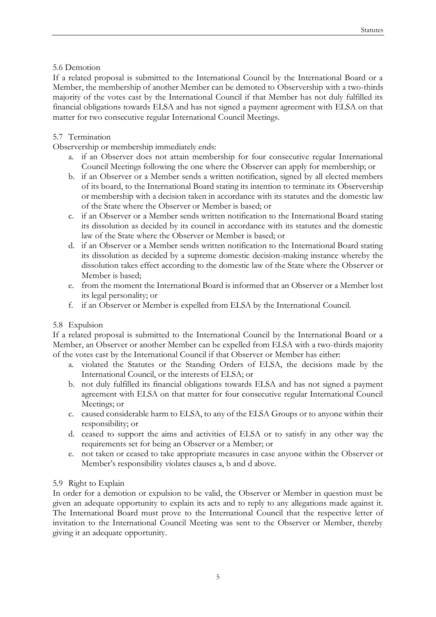#### 5.6 Demotion

If a related proposal is submitted to the International Council by the International Board or a Member, the membership of another Member can be demoted to Observership with a two-thirds majority of the votes cast by the International Council if that Member has not duly fulfilled its financial obligations towards ELSA and has not signed a payment agreement with ELSA on that matter for two consecutive regular International Council Meetings.

#### 5.7 Termination

Observership or membership immediately ends:

- a. if an Observer does not attain membership for four consecutive regular International Council Meetings following the one where the Observer can apply for membership; or
- b. if an Observer or a Member sends a written notification, signed by all elected members of its board, to the International Board stating its intention to terminate its Observership or membership with a decision taken in accordance with its statutes and the domestic law of the State where the Observer or Member is based; or
- c. if an Observer or a Member sends written notification to the International Board stating its dissolution as decided by its council in accordance with its statutes and the domestic law of the State where the Observer or Member is based; or
- d. if an Observer or a Member sends written notification to the International Board stating its dissolution as decided by a supreme domestic decision-making instance whereby the dissolution takes effect according to the domestic law of the State where the Observer or Member is based;
- e. from the moment the International Board is informed that an Observer or a Member lost its legal personality; or
- f. if an Observer or Member is expelled from ELSA by the International Council.

#### 5.8 Expulsion

If a related proposal is submitted to the International Council by the International Board or a Member, an Observer or another Member can be expelled from ELSA with a two-thirds majority of the votes cast by the International Council if that Observer or Member has either:

- a. violated the Statutes or the Standing Orders of ELSA, the decisions made by the International Council, or the interests of ELSA; or
- b. not duly fulfilled its financial obligations towards ELSA and has not signed a payment agreement with ELSA on that matter for four consecutive regular International Council Meetings; or
- c. caused considerable harm to ELSA, to any of the ELSA Groups or to anyone within their responsibility; or
- d. ceased to support the aims and activities of ELSA or to satisfy in any other way the requirements set for being an Observer or a Member; or
- e. not taken or ceased to take appropriate measures in case anyone within the Observer or Member's responsibility violates clauses a, b and d above.

#### 5.9 Right to Explain

In order for a demotion or expulsion to be valid, the Observer or Member in question must be given an adequate opportunity to explain its acts and to reply to any allegations made against it. The International Board must prove to the International Council that the respective letter of invitation to the International Council Meeting was sent to the Observer or Member, thereby giving it an adequate opportunity.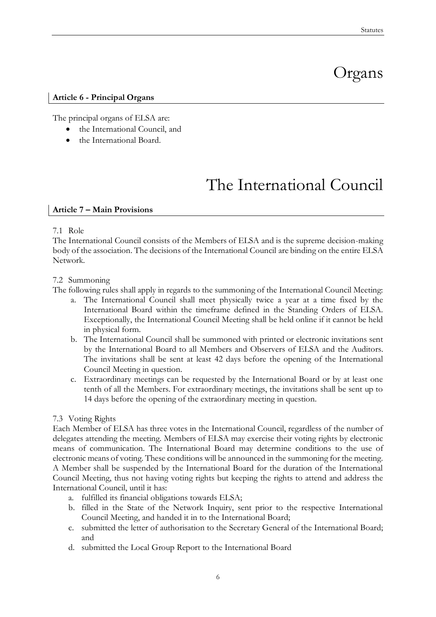# Organs

#### **Article 6 - Principal Organs**

The principal organs of ELSA are:

- the International Council, and
- the International Board.

# The International Council

#### **Article 7 – Main Provisions**

#### 7.1 Role

The International Council consists of the Members of ELSA and is the supreme decision-making body of the association. The decisions of the International Council are binding on the entire ELSA Network.

#### 7.2 Summoning

The following rules shall apply in regards to the summoning of the International Council Meeting:

- a. The International Council shall meet physically twice a year at a time fixed by the International Board within the timeframe defined in the Standing Orders of ELSA. Exceptionally, the International Council Meeting shall be held online if it cannot be held in physical form.
- b. The International Council shall be summoned with printed or electronic invitations sent by the International Board to all Members and Observers of ELSA and the Auditors. The invitations shall be sent at least 42 days before the opening of the International Council Meeting in question.
- c. Extraordinary meetings can be requested by the International Board or by at least one tenth of all the Members. For extraordinary meetings, the invitations shall be sent up to 14 days before the opening of the extraordinary meeting in question.

#### 7.3 Voting Rights

Each Member of ELSA has three votes in the International Council, regardless of the number of delegates attending the meeting. Members of ELSA may exercise their voting rights by electronic means of communication. The International Board may determine conditions to the use of electronic means of voting. These conditions will be announced in the summoning for the meeting. A Member shall be suspended by the International Board for the duration of the International Council Meeting, thus not having voting rights but keeping the rights to attend and address the International Council, until it has:

- a. fulfilled its financial obligations towards ELSA;
- b. filled in the State of the Network Inquiry, sent prior to the respective International Council Meeting, and handed it in to the International Board;
- c. submitted the letter of authorisation to the Secretary General of the International Board; and
- d. submitted the Local Group Report to the International Board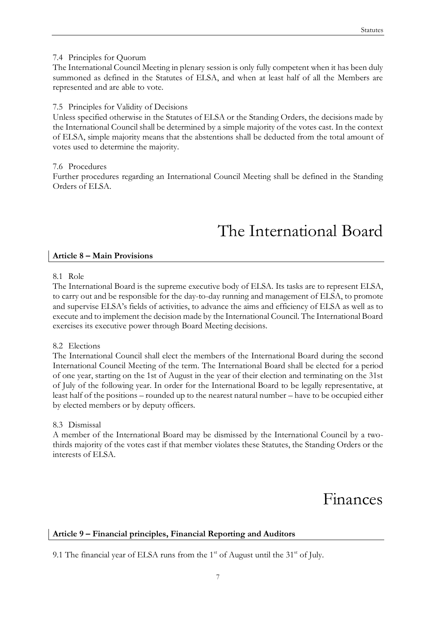#### 7.4 Principles for Quorum

The International Council Meeting in plenary session is only fully competent when it has been duly summoned as defined in the Statutes of ELSA, and when at least half of all the Members are represented and are able to vote.

#### 7.5 Principles for Validity of Decisions

Unless specified otherwise in the Statutes of ELSA or the Standing Orders, the decisions made by the International Council shall be determined by a simple majority of the votes cast. In the context of ELSA, simple majority means that the abstentions shall be deducted from the total amount of votes used to determine the majority.

7.6 Procedures

Further procedures regarding an International Council Meeting shall be defined in the Standing Orders of ELSA.

# The International Board

#### **Article 8 – Main Provisions**

#### 8.1 Role

The International Board is the supreme executive body of ELSA. Its tasks are to represent ELSA, to carry out and be responsible for the day-to-day running and management of ELSA, to promote and supervise ELSA's fields of activities, to advance the aims and efficiency of ELSA as well as to execute and to implement the decision made by the International Council. The International Board exercises its executive power through Board Meeting decisions.

#### 8.2 Elections

The International Council shall elect the members of the International Board during the second International Council Meeting of the term. The International Board shall be elected for a period of one year, starting on the 1st of August in the year of their election and terminating on the 31st of July of the following year. In order for the International Board to be legally representative, at least half of the positions – rounded up to the nearest natural number – have to be occupied either by elected members or by deputy officers.

#### 8.3 Dismissal

A member of the International Board may be dismissed by the International Council by a twothirds majority of the votes cast if that member violates these Statutes, the Standing Orders or the interests of ELSA.

### Finances

#### **Article 9 – Financial principles, Financial Reporting and Auditors**

9.1 The financial year of ELSA runs from the 1<sup>st</sup> of August until the 31<sup>st</sup> of July.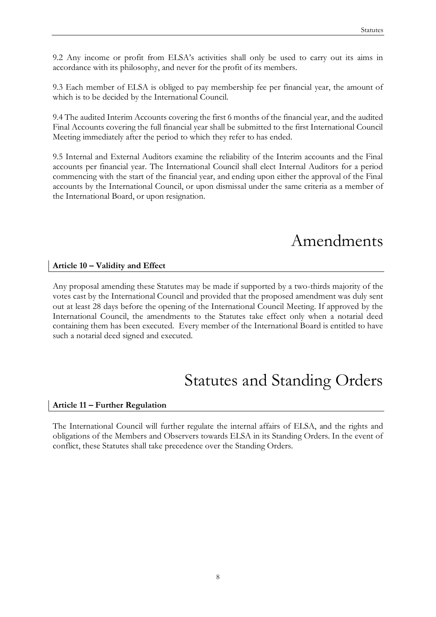9.2 Any income or profit from ELSA's activities shall only be used to carry out its aims in accordance with its philosophy, and never for the profit of its members.

9.3 Each member of ELSA is obliged to pay membership fee per financial year, the amount of which is to be decided by the International Council.

9.4 The audited Interim Accounts covering the first 6 months of the financial year, and the audited Final Accounts covering the full financial year shall be submitted to the first International Council Meeting immediately after the period to which they refer to has ended.

9.5 Internal and External Auditors examine the reliability of the Interim accounts and the Final accounts per financial year. The International Council shall elect Internal Auditors for a period commencing with the start of the financial year, and ending upon either the approval of the Final accounts by the International Council, or upon dismissal under the same criteria as a member of the International Board, or upon resignation.

# Amendments

#### **Article 10 – Validity and Effect**

Any proposal amending these Statutes may be made if supported by a two-thirds majority of the votes cast by the International Council and provided that the proposed amendment was duly sent out at least 28 days before the opening of the International Council Meeting. If approved by the International Council, the amendments to the Statutes take effect only when a notarial deed containing them has been executed. Every member of the International Board is entitled to have such a notarial deed signed and executed.

## Statutes and Standing Orders

#### **Article 11 – Further Regulation**

The International Council will further regulate the internal affairs of ELSA, and the rights and obligations of the Members and Observers towards ELSA in its Standing Orders. In the event of conflict, these Statutes shall take precedence over the Standing Orders.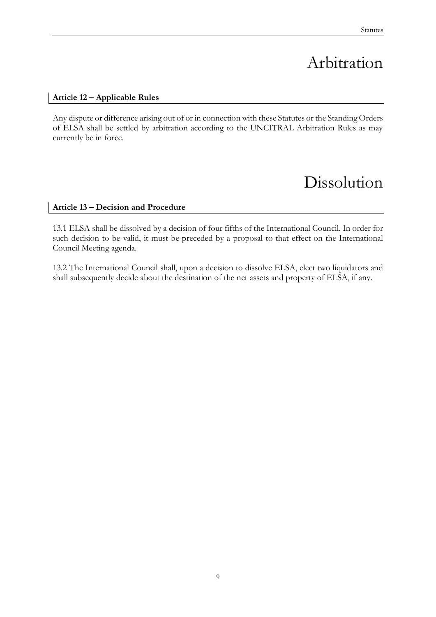# Arbitration

#### **Article 12 – Applicable Rules**

Any dispute or difference arising out of or in connection with these Statutes or the Standing Orders of ELSA shall be settled by arbitration according to the UNCITRAL Arbitration Rules as may currently be in force.

### Dissolution

#### **Article 13 – Decision and Procedure**

13.1 ELSA shall be dissolved by a decision of four fifths of the International Council. In order for such decision to be valid, it must be preceded by a proposal to that effect on the International Council Meeting agenda.

13.2 The International Council shall, upon a decision to dissolve ELSA, elect two liquidators and shall subsequently decide about the destination of the net assets and property of ELSA, if any.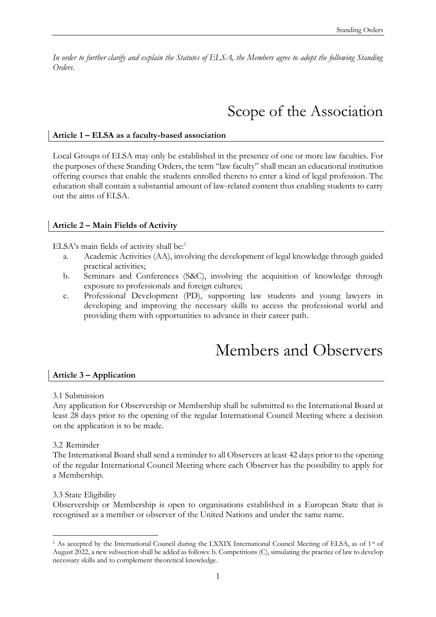*In order to further clarify and explain the Statutes of ELSA, the Members agree to adopt the following Standing Orders.*

# Scope of the Association

#### **Article 1 – ELSA as a faculty-based association**

Local Groups of ELSA may only be established in the presence of one or more law faculties. For the purposes of these Standing Orders, the term "law faculty" shall mean an educational institution offering courses that enable the students enrolled thereto to enter a kind of legal profession. The education shall contain a substantial amount of law-related content thus enabling students to carry out the aims of ELSA.

#### **Article 2 – Main Fields of Activity**

ELSA's main fields of activity shall be: $<sup>1</sup>$ </sup>

- a. Academic Activities (AA), involving the development of legal knowledge through guided practical activities;
- b. Seminars and Conferences (S&C), involving the acquisition of knowledge through exposure to professionals and foreign cultures;
- c. Professional Development (PD), supporting law students and young lawyers in developing and improving the necessary skills to access the professional world and providing them with opportunities to advance in their career path.

### Members and Observers

#### **Article 3 – Application**

3.1 Submission

Any application for Observership or Membership shall be submitted to the International Board at least 28 days prior to the opening of the regular International Council Meeting where a decision on the application is to be made.

#### 3.2 Reminder

The International Board shall send a reminder to all Observers at least 42 days prior to the opening of the regular International Council Meeting where each Observer has the possibility to apply for a Membership.

#### 3.3 State Eligibility

-

Observership or Membership is open to organisations established in a European State that is recognised as a member or observer of the United Nations and under the same name.

<sup>&</sup>lt;sup>1</sup> As accepted by the International Council during the LXXIX International Council Meeting of ELSA, as of 1<sup>st</sup> of August 2022, a new subsection shall be added as follows: b. Competitions (C), simulating the practice of law to develop necessary skills and to complement theoretical knowledge.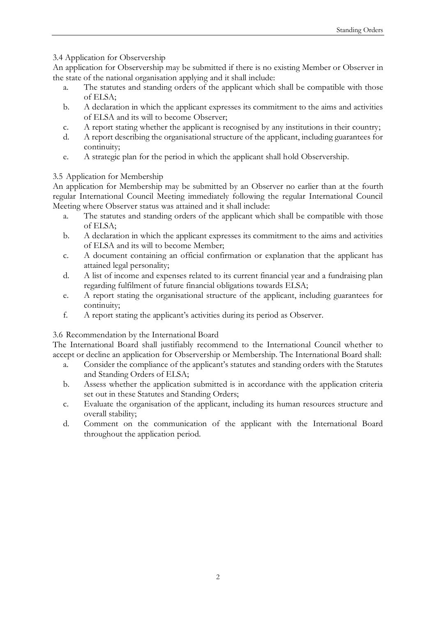#### 3.4 Application for Observership

An application for Observership may be submitted if there is no existing Member or Observer in the state of the national organisation applying and it shall include:

- a. The statutes and standing orders of the applicant which shall be compatible with those of ELSA;
- b. A declaration in which the applicant expresses its commitment to the aims and activities of ELSA and its will to become Observer;
- c. A report stating whether the applicant is recognised by any institutions in their country;
- d. A report describing the organisational structure of the applicant, including guarantees for continuity;
- e. A strategic plan for the period in which the applicant shall hold Observership.

#### 3.5 Application for Membership

An application for Membership may be submitted by an Observer no earlier than at the fourth regular International Council Meeting immediately following the regular International Council Meeting where Observer status was attained and it shall include:

- a. The statutes and standing orders of the applicant which shall be compatible with those of ELSA;
- b. A declaration in which the applicant expresses its commitment to the aims and activities of ELSA and its will to become Member;
- c. A document containing an official confirmation or explanation that the applicant has attained legal personality;
- d. A list of income and expenses related to its current financial year and a fundraising plan regarding fulfilment of future financial obligations towards ELSA;
- e. A report stating the organisational structure of the applicant, including guarantees for continuity;
- f. A report stating the applicant's activities during its period as Observer.

#### 3.6 Recommendation by the International Board

The International Board shall justifiably recommend to the International Council whether to accept or decline an application for Observership or Membership. The International Board shall:

- a. Consider the compliance of the applicant's statutes and standing orders with the Statutes and Standing Orders of ELSA;
- b. Assess whether the application submitted is in accordance with the application criteria set out in these Statutes and Standing Orders;
- c. Evaluate the organisation of the applicant, including its human resources structure and overall stability;
- d. Comment on the communication of the applicant with the International Board throughout the application period.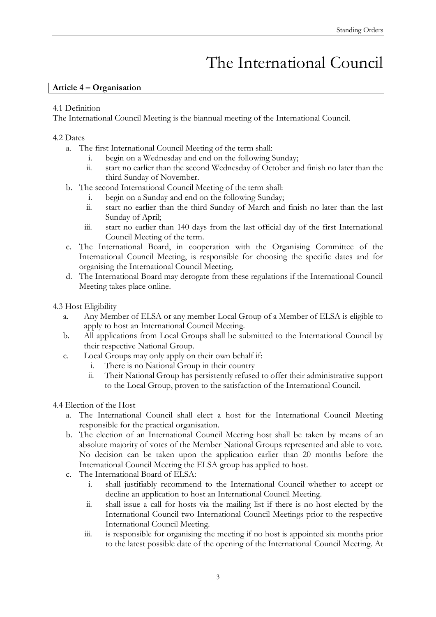# The International Council

#### **Article 4 – Organisation**

#### 4.1 Definition

The International Council Meeting is the biannual meeting of the International Council.

#### 4.2 Dates

- a. The first International Council Meeting of the term shall:
	- i. begin on a Wednesday and end on the following Sunday;
	- ii. start no earlier than the second Wednesday of October and finish no later than the third Sunday of November.
- b. The second International Council Meeting of the term shall:
	- i. begin on a Sunday and end on the following Sunday;
		- ii. start no earlier than the third Sunday of March and finish no later than the last Sunday of April;
	- iii. start no earlier than 140 days from the last official day of the first International Council Meeting of the term.
- c. The International Board, in cooperation with the Organising Committee of the International Council Meeting, is responsible for choosing the specific dates and for organising the International Council Meeting.
- d. The International Board may derogate from these regulations if the International Council Meeting takes place online.

4.3 Host Eligibility

- a. Any Member of ELSA or any member Local Group of a Member of ELSA is eligible to apply to host an International Council Meeting.
- b. All applications from Local Groups shall be submitted to the International Council by their respective National Group.
- c. Local Groups may only apply on their own behalf if:
	- i. There is no National Group in their country
	- ii. Their National Group has persistently refused to offer their administrative support to the Local Group, proven to the satisfaction of the International Council.
- 4.4 Election of the Host
	- a. The International Council shall elect a host for the International Council Meeting responsible for the practical organisation.
	- b. The election of an International Council Meeting host shall be taken by means of an absolute majority of votes of the Member National Groups represented and able to vote. No decision can be taken upon the application earlier than 20 months before the International Council Meeting the ELSA group has applied to host.
	- c. The International Board of ELSA:
		- i. shall justifiably recommend to the International Council whether to accept or decline an application to host an International Council Meeting.
		- ii. shall issue a call for hosts via the mailing list if there is no host elected by the International Council two International Council Meetings prior to the respective International Council Meeting.
		- iii. is responsible for organising the meeting if no host is appointed six months prior to the latest possible date of the opening of the International Council Meeting. At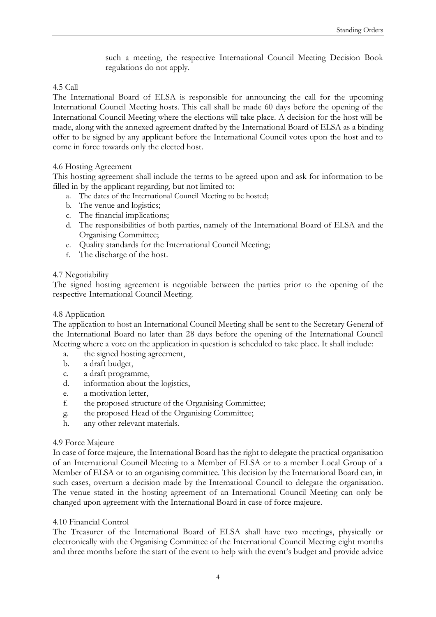such a meeting, the respective International Council Meeting Decision Book regulations do not apply.

#### 4.5 Call

The International Board of ELSA is responsible for announcing the call for the upcoming International Council Meeting hosts. This call shall be made 60 days before the opening of the International Council Meeting where the elections will take place. A decision for the host will be made, along with the annexed agreement drafted by the International Board of ELSA as a binding offer to be signed by any applicant before the International Council votes upon the host and to come in force towards only the elected host.

#### 4.6 Hosting Agreement

This hosting agreement shall include the terms to be agreed upon and ask for information to be filled in by the applicant regarding, but not limited to:

- a. The dates of the International Council Meeting to be hosted;
- b. The venue and logistics;
- c. The financial implications;
- d. The responsibilities of both parties, namely of the International Board of ELSA and the Organising Committee;
- e. Quality standards for the International Council Meeting;
- f. The discharge of the host.

#### 4.7 Negotiability

The signed hosting agreement is negotiable between the parties prior to the opening of the respective International Council Meeting.

#### 4.8 Application

The application to host an International Council Meeting shall be sent to the Secretary General of the International Board no later than 28 days before the opening of the International Council Meeting where a vote on the application in question is scheduled to take place. It shall include:

- a. the signed hosting agreement,
- b. a draft budget,
- c. a draft programme,
- d. information about the logistics,
- e. a motivation letter,
- f. the proposed structure of the Organising Committee;
- g. the proposed Head of the Organising Committee;
- h. any other relevant materials.

#### 4.9 Force Majeure

In case of force majeure, the International Board has the right to delegate the practical organisation of an International Council Meeting to a Member of ELSA or to a member Local Group of a Member of ELSA or to an organising committee. This decision by the International Board can, in such cases, overturn a decision made by the International Council to delegate the organisation. The venue stated in the hosting agreement of an International Council Meeting can only be changed upon agreement with the International Board in case of force majeure.

#### 4.10 Financial Control

The Treasurer of the International Board of ELSA shall have two meetings, physically or electronically with the Organising Committee of the International Council Meeting eight months and three months before the start of the event to help with the event's budget and provide advice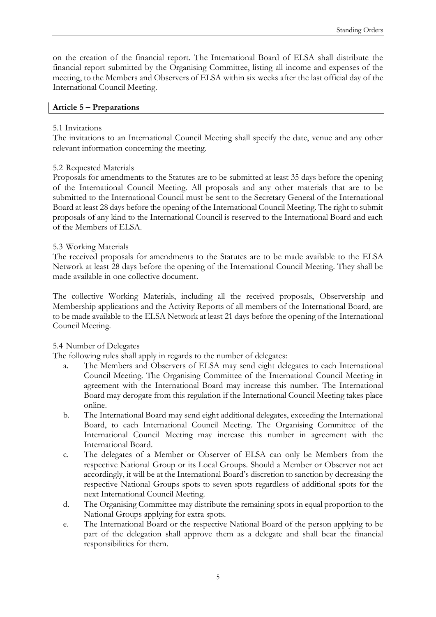on the creation of the financial report. The International Board of ELSA shall distribute the financial report submitted by the Organising Committee, listing all income and expenses of the meeting, to the Members and Observers of ELSA within six weeks after the last official day of the International Council Meeting.

#### **Article 5 – Preparations**

#### 5.1 Invitations

The invitations to an International Council Meeting shall specify the date, venue and any other relevant information concerning the meeting.

#### 5.2 Requested Materials

Proposals for amendments to the Statutes are to be submitted at least 35 days before the opening of the International Council Meeting. All proposals and any other materials that are to be submitted to the International Council must be sent to the Secretary General of the International Board at least 28 days before the opening of the International Council Meeting. The right to submit proposals of any kind to the International Council is reserved to the International Board and each of the Members of ELSA.

#### 5.3 Working Materials

The received proposals for amendments to the Statutes are to be made available to the ELSA Network at least 28 days before the opening of the International Council Meeting. They shall be made available in one collective document.

The collective Working Materials, including all the received proposals, Observership and Membership applications and the Activity Reports of all members of the International Board, are to be made available to the ELSA Network at least 21 days before the opening of the International Council Meeting.

#### 5.4 Number of Delegates

The following rules shall apply in regards to the number of delegates:

- a. The Members and Observers of ELSA may send eight delegates to each International Council Meeting. The Organising Committee of the International Council Meeting in agreement with the International Board may increase this number. The International Board may derogate from this regulation if the International Council Meeting takes place online.
- b. The International Board may send eight additional delegates, exceeding the International Board, to each International Council Meeting. The Organising Committee of the International Council Meeting may increase this number in agreement with the International Board.
- c. The delegates of a Member or Observer of ELSA can only be Members from the respective National Group or its Local Groups. Should a Member or Observer not act accordingly, it will be at the International Board's discretion to sanction by decreasing the respective National Groups spots to seven spots regardless of additional spots for the next International Council Meeting.
- d. The Organising Committee may distribute the remaining spots in equal proportion to the National Groups applying for extra spots.
- e. The International Board or the respective National Board of the person applying to be part of the delegation shall approve them as a delegate and shall bear the financial responsibilities for them.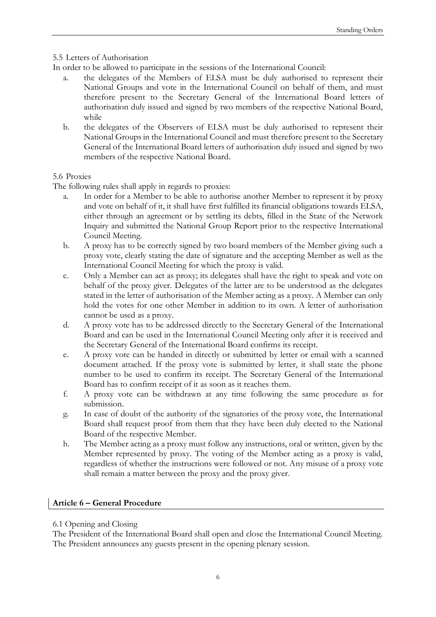#### 5.5 Letters of Authorisation

In order to be allowed to participate in the sessions of the International Council:

- the delegates of the Members of ELSA must be duly authorised to represent their National Groups and vote in the International Council on behalf of them, and must therefore present to the Secretary General of the International Board letters of authorisation duly issued and signed by two members of the respective National Board, while
- b. the delegates of the Observers of ELSA must be duly authorised to represent their National Groups in the International Council and must therefore present to the Secretary General of the International Board letters of authorisation duly issued and signed by two members of the respective National Board.

#### 5.6 Proxies

The following rules shall apply in regards to proxies:

- a. In order for a Member to be able to authorise another Member to represent it by proxy and vote on behalf of it, it shall have first fulfilled its financial obligations towards ELSA, either through an agreement or by settling its debts, filled in the State of the Network Inquiry and submitted the National Group Report prior to the respective International Council Meeting.
- b. A proxy has to be correctly signed by two board members of the Member giving such a proxy vote, clearly stating the date of signature and the accepting Member as well as the International Council Meeting for which the proxy is valid.
- c. Only a Member can act as proxy; its delegates shall have the right to speak and vote on behalf of the proxy giver. Delegates of the latter are to be understood as the delegates stated in the letter of authorisation of the Member acting as a proxy. A Member can only hold the votes for one other Member in addition to its own. A letter of authorisation cannot be used as a proxy.
- d. A proxy vote has to be addressed directly to the Secretary General of the International Board and can be used in the International Council Meeting only after it is received and the Secretary General of the International Board confirms its receipt.
- e. A proxy vote can be handed in directly or submitted by letter or email with a scanned document attached. If the proxy vote is submitted by letter, it shall state the phone number to be used to confirm its receipt. The Secretary General of the International Board has to confirm receipt of it as soon as it reaches them.
- f. A proxy vote can be withdrawn at any time following the same procedure as for submission.
- g. In case of doubt of the authority of the signatories of the proxy vote, the International Board shall request proof from them that they have been duly elected to the National Board of the respective Member.
- h. The Member acting as a proxy must follow any instructions, oral or written, given by the Member represented by proxy. The voting of the Member acting as a proxy is valid, regardless of whether the instructions were followed or not. Any misuse of a proxy vote shall remain a matter between the proxy and the proxy giver.

#### **Article 6 – General Procedure**

#### 6.1 Opening and Closing

The President of the International Board shall open and close the International Council Meeting. The President announces any guests present in the opening plenary session.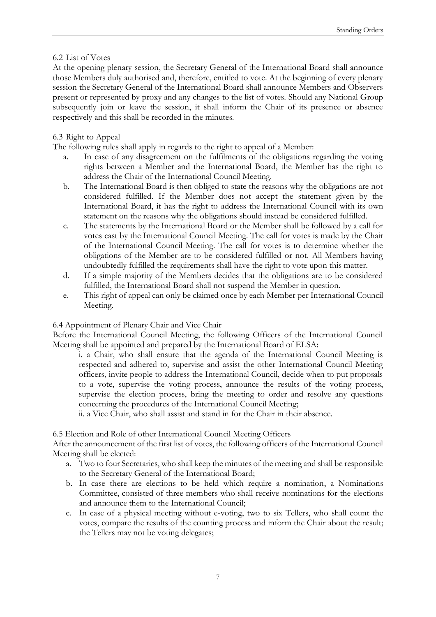#### 6.2 List of Votes

At the opening plenary session, the Secretary General of the International Board shall announce those Members duly authorised and, therefore, entitled to vote. At the beginning of every plenary session the Secretary General of the International Board shall announce Members and Observers present or represented by proxy and any changes to the list of votes. Should any National Group subsequently join or leave the session, it shall inform the Chair of its presence or absence respectively and this shall be recorded in the minutes.

#### 6.3 Right to Appeal

The following rules shall apply in regards to the right to appeal of a Member:

- a. In case of any disagreement on the fulfilments of the obligations regarding the voting rights between a Member and the International Board, the Member has the right to address the Chair of the International Council Meeting.
- b. The International Board is then obliged to state the reasons why the obligations are not considered fulfilled. If the Member does not accept the statement given by the International Board, it has the right to address the International Council with its own statement on the reasons why the obligations should instead be considered fulfilled.
- c. The statements by the International Board or the Member shall be followed by a call for votes cast by the International Council Meeting. The call for votes is made by the Chair of the International Council Meeting. The call for votes is to determine whether the obligations of the Member are to be considered fulfilled or not. All Members having undoubtedly fulfilled the requirements shall have the right to vote upon this matter.
- d. If a simple majority of the Members decides that the obligations are to be considered fulfilled, the International Board shall not suspend the Member in question.
- e. This right of appeal can only be claimed once by each Member per International Council Meeting.

#### 6.4 Appointment of Plenary Chair and Vice Chair

Before the International Council Meeting, the following Officers of the International Council Meeting shall be appointed and prepared by the International Board of ELSA:

i. a Chair, who shall ensure that the agenda of the International Council Meeting is respected and adhered to, supervise and assist the other International Council Meeting officers, invite people to address the International Council, decide when to put proposals to a vote, supervise the voting process, announce the results of the voting process, supervise the election process, bring the meeting to order and resolve any questions concerning the procedures of the International Council Meeting;

ii. a Vice Chair, who shall assist and stand in for the Chair in their absence.

#### 6.5 Election and Role of other International Council Meeting Officers

After the announcement of the first list of votes, the following officers of the International Council Meeting shall be elected:

- a. Two to four Secretaries, who shall keep the minutes of the meeting and shall be responsible to the Secretary General of the International Board;
- b. In case there are elections to be held which require a nomination, a Nominations Committee, consisted of three members who shall receive nominations for the elections and announce them to the International Council;
- c. In case of a physical meeting without e-voting, two to six Tellers, who shall count the votes, compare the results of the counting process and inform the Chair about the result; the Tellers may not be voting delegates;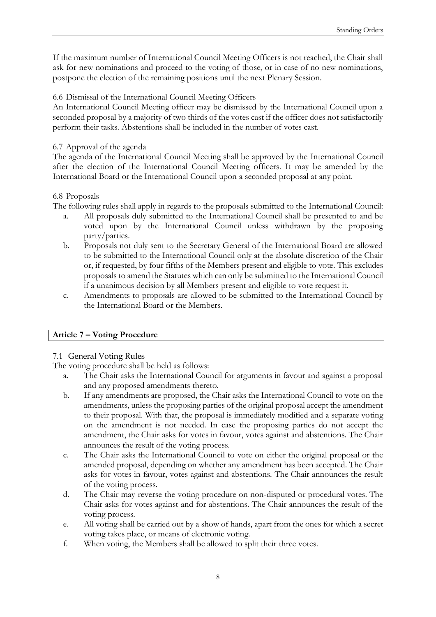If the maximum number of International Council Meeting Officers is not reached, the Chair shall ask for new nominations and proceed to the voting of those, or in case of no new nominations, postpone the election of the remaining positions until the next Plenary Session.

#### 6.6 Dismissal of the International Council Meeting Officers

An International Council Meeting officer may be dismissed by the International Council upon a seconded proposal by a majority of two thirds of the votes cast if the officer does not satisfactorily perform their tasks. Abstentions shall be included in the number of votes cast.

#### 6.7 Approval of the agenda

The agenda of the International Council Meeting shall be approved by the International Council after the election of the International Council Meeting officers. It may be amended by the International Board or the International Council upon a seconded proposal at any point.

#### 6.8 Proposals

The following rules shall apply in regards to the proposals submitted to the International Council:

- a. All proposals duly submitted to the International Council shall be presented to and be voted upon by the International Council unless withdrawn by the proposing party/parties.
- b. Proposals not duly sent to the Secretary General of the International Board are allowed to be submitted to the International Council only at the absolute discretion of the Chair or, if requested, by four fifths of the Members present and eligible to vote. This excludes proposals to amend the Statutes which can only be submitted to the International Council if a unanimous decision by all Members present and eligible to vote request it.
- c. Amendments to proposals are allowed to be submitted to the International Council by the International Board or the Members.

#### **Article 7 – Voting Procedure**

#### 7.1 General Voting Rules

The voting procedure shall be held as follows:

- a. The Chair asks the International Council for arguments in favour and against a proposal and any proposed amendments thereto.
- b. If any amendments are proposed, the Chair asks the International Council to vote on the amendments, unless the proposing parties of the original proposal accept the amendment to their proposal. With that, the proposal is immediately modified and a separate voting on the amendment is not needed. In case the proposing parties do not accept the amendment, the Chair asks for votes in favour, votes against and abstentions. The Chair announces the result of the voting process.
- c. The Chair asks the International Council to vote on either the original proposal or the amended proposal, depending on whether any amendment has been accepted. The Chair asks for votes in favour, votes against and abstentions. The Chair announces the result of the voting process.
- d. The Chair may reverse the voting procedure on non-disputed or procedural votes. The Chair asks for votes against and for abstentions. The Chair announces the result of the voting process.
- e. All voting shall be carried out by a show of hands, apart from the ones for which a secret voting takes place, or means of electronic voting.
- f. When voting, the Members shall be allowed to split their three votes.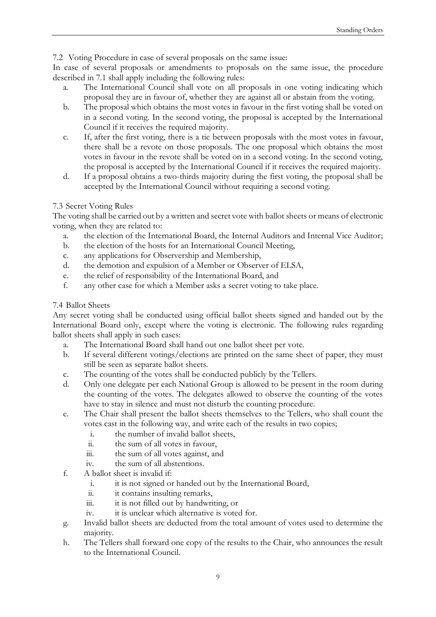7.2 Voting Procedure in case of several proposals on the same issue:

In case of several proposals or amendments to proposals on the same issue, the procedure described in 7.1 shall apply including the following rules:

- a. The International Council shall vote on all proposals in one voting indicating which proposal they are in favour of, whether they are against all or abstain from the voting.
- b. The proposal which obtains the most votes in favour in the first voting shall be voted on in a second voting. In the second voting, the proposal is accepted by the International Council if it receives the required majority.
- c. If, after the first voting, there is a tie between proposals with the most votes in favour, there shall be a revote on those proposals. The one proposal which obtains the most votes in favour in the revote shall be voted on in a second voting. In the second voting, the proposal is accepted by the International Council if it receives the required majority.
- d. If a proposal obtains a two-thirds majority during the first voting, the proposal shall be accepted by the International Council without requiring a second voting.

#### 7.3 Secret Voting Rules

The voting shall be carried out by a written and secret vote with ballot sheets or means of electronic voting, when they are related to:

- a. the election of the International Board, the Internal Auditors and Internal Vice Auditor;
- b. the election of the hosts for an International Council Meeting,
- c. any applications for Observership and Membership,
- d. the demotion and expulsion of a Member or Observer of ELSA,
- e. the relief of responsibility of the International Board, and
- f. any other case for which a Member asks a secret voting to take place.

#### 7.4 Ballot Sheets

Any secret voting shall be conducted using official ballot sheets signed and handed out by the International Board only, except where the voting is electronic. The following rules regarding ballot sheets shall apply in such cases:

- a. The International Board shall hand out one ballot sheet per vote.
- b. If several different votings/elections are printed on the same sheet of paper, they must still be seen as separate ballot sheets.
- c. The counting of the votes shall be conducted publicly by the Tellers.
- d. Only one delegate per each National Group is allowed to be present in the room during the counting of the votes. The delegates allowed to observe the counting of the votes have to stay in silence and must not disturb the counting procedure.
- e. The Chair shall present the ballot sheets themselves to the Tellers, who shall count the votes cast in the following way, and write each of the results in two copies;
	- i. the number of invalid ballot sheets,
	- ii. the sum of all votes in favour,
	- iii. the sum of all votes against, and
	- iv. the sum of all abstentions.
- f. A ballot sheet is invalid if:
	- i. it is not signed or handed out by the International Board,
	- ii. it contains insulting remarks,
	- iii. it is not filled out by handwriting, or
	- iv. it is unclear which alternative is voted for.
- g. Invalid ballot sheets are deducted from the total amount of votes used to determine the majority.
- h. The Tellers shall forward one copy of the results to the Chair, who announces the result to the International Council.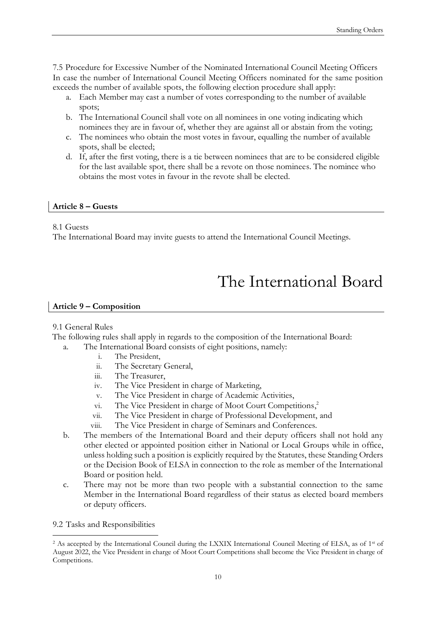7.5 Procedure for Excessive Number of the Nominated International Council Meeting Officers In case the number of International Council Meeting Officers nominated for the same position exceeds the number of available spots, the following election procedure shall apply:

- a. Each Member may cast a number of votes corresponding to the number of available spots;
- b. The International Council shall vote on all nominees in one voting indicating which nominees they are in favour of, whether they are against all or abstain from the voting;
- c. The nominees who obtain the most votes in favour, equalling the number of available spots, shall be elected;
- d. If, after the first voting, there is a tie between nominees that are to be considered eligible for the last available spot, there shall be a revote on those nominees. The nominee who obtains the most votes in favour in the revote shall be elected.

#### **Article 8 – Guests**

#### 8.1 Guests

The International Board may invite guests to attend the International Council Meetings.

# The International Board

#### **Article 9 – Composition**

#### 9.1 General Rules

The following rules shall apply in regards to the composition of the International Board:

- a. The International Board consists of eight positions, namely:
	- i. The President,
	- ii. The Secretary General,
	- iii. The Treasurer,
	- iv. The Vice President in charge of Marketing,
	- v. The Vice President in charge of Academic Activities,
	- vi. The Vice President in charge of Moot Court Competitions, 2
	- vii. The Vice President in charge of Professional Development, and
	- viii. The Vice President in charge of Seminars and Conferences.
- b. The members of the International Board and their deputy officers shall not hold any other elected or appointed position either in National or Local Groups while in office, unless holding such a position is explicitly required by the Statutes, these Standing Orders or the Decision Book of ELSA in connection to the role as member of the International Board or position held.
- c. There may not be more than two people with a substantial connection to the same Member in the International Board regardless of their status as elected board members or deputy officers.
- 9.2 Tasks and Responsibilities

-

<sup>&</sup>lt;sup>2</sup> As accepted by the International Council during the LXXIX International Council Meeting of ELSA, as of 1<sup>st</sup> of August 2022, the Vice President in charge of Moot Court Competitions shall become the Vice President in charge of Competitions.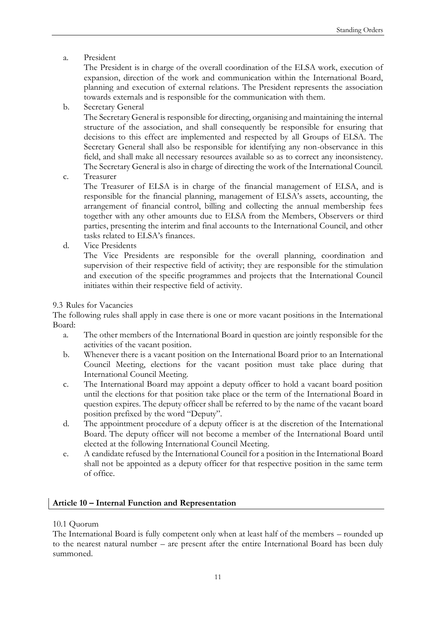a. President

The President is in charge of the overall coordination of the ELSA work, execution of expansion, direction of the work and communication within the International Board, planning and execution of external relations. The President represents the association towards externals and is responsible for the communication with them.

#### b. Secretary General

The Secretary General is responsible for directing, organising and maintaining the internal structure of the association, and shall consequently be responsible for ensuring that decisions to this effect are implemented and respected by all Groups of ELSA. The Secretary General shall also be responsible for identifying any non-observance in this field, and shall make all necessary resources available so as to correct any inconsistency. The Secretary General is also in charge of directing the work of the International Council.

c. Treasurer

The Treasurer of ELSA is in charge of the financial management of ELSA, and is responsible for the financial planning, management of ELSA's assets, accounting, the arrangement of financial control, billing and collecting the annual membership fees together with any other amounts due to ELSA from the Members, Observers or third parties, presenting the interim and final accounts to the International Council, and other tasks related to ELSA's finances.

d. Vice Presidents

The Vice Presidents are responsible for the overall planning, coordination and supervision of their respective field of activity; they are responsible for the stimulation and execution of the specific programmes and projects that the International Council initiates within their respective field of activity.

#### 9.3 Rules for Vacancies

The following rules shall apply in case there is one or more vacant positions in the International Board:

- a. The other members of the International Board in question are jointly responsible for the activities of the vacant position.
- b. Whenever there is a vacant position on the International Board prior to an International Council Meeting, elections for the vacant position must take place during that International Council Meeting.
- c. The International Board may appoint a deputy officer to hold a vacant board position until the elections for that position take place or the term of the International Board in question expires. The deputy officer shall be referred to by the name of the vacant board position prefixed by the word "Deputy".
- d. The appointment procedure of a deputy officer is at the discretion of the International Board. The deputy officer will not become a member of the International Board until elected at the following International Council Meeting.
- e. A candidate refused by the International Council for a position in the International Board shall not be appointed as a deputy officer for that respective position in the same term of office.

#### **Article 10 – Internal Function and Representation**

#### 10.1 Quorum

The International Board is fully competent only when at least half of the members – rounded up to the nearest natural number – are present after the entire International Board has been duly summoned.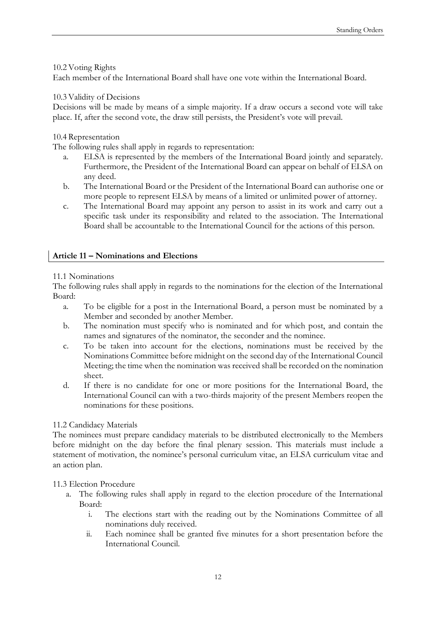#### 10.2 Voting Rights

Each member of the International Board shall have one vote within the International Board.

#### 10.3 Validity of Decisions

Decisions will be made by means of a simple majority. If a draw occurs a second vote will take place. If, after the second vote, the draw still persists, the President's vote will prevail.

#### 10.4 Representation

The following rules shall apply in regards to representation:

- a. ELSA is represented by the members of the International Board jointly and separately. Furthermore, the President of the International Board can appear on behalf of ELSA on any deed.
- b. The International Board or the President of the International Board can authorise one or more people to represent ELSA by means of a limited or unlimited power of attorney.
- c. The International Board may appoint any person to assist in its work and carry out a specific task under its responsibility and related to the association. The International Board shall be accountable to the International Council for the actions of this person.

#### **Article 11 – Nominations and Elections**

#### 11.1 Nominations

The following rules shall apply in regards to the nominations for the election of the International Board:

- a. To be eligible for a post in the International Board, a person must be nominated by a Member and seconded by another Member.
- b. The nomination must specify who is nominated and for which post, and contain the names and signatures of the nominator, the seconder and the nominee.
- c. To be taken into account for the elections, nominations must be received by the Nominations Committee before midnight on the second day of the International Council Meeting; the time when the nomination was received shall be recorded on the nomination sheet.
- d. If there is no candidate for one or more positions for the International Board, the International Council can with a two-thirds majority of the present Members reopen the nominations for these positions.

#### 11.2 Candidacy Materials

The nominees must prepare candidacy materials to be distributed electronically to the Members before midnight on the day before the final plenary session. This materials must include a statement of motivation, the nominee's personal curriculum vitae, an ELSA curriculum vitae and an action plan.

#### 11.3 Election Procedure

- a. The following rules shall apply in regard to the election procedure of the International Board:
	- i. The elections start with the reading out by the Nominations Committee of all nominations duly received.
	- ii. Each nominee shall be granted five minutes for a short presentation before the International Council.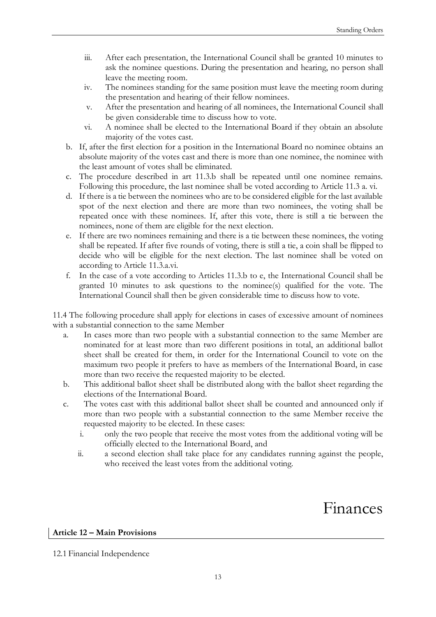- iii. After each presentation, the International Council shall be granted 10 minutes to ask the nominee questions. During the presentation and hearing, no person shall leave the meeting room.
- iv. The nominees standing for the same position must leave the meeting room during the presentation and hearing of their fellow nominees.
- v. After the presentation and hearing of all nominees, the International Council shall be given considerable time to discuss how to vote.
- vi. A nominee shall be elected to the International Board if they obtain an absolute majority of the votes cast.
- b. If, after the first election for a position in the International Board no nominee obtains an absolute majority of the votes cast and there is more than one nominee, the nominee with the least amount of votes shall be eliminated.
- c. The procedure described in art 11.3.b shall be repeated until one nominee remains. Following this procedure, the last nominee shall be voted according to Article 11.3 a. vi.
- d. If there is a tie between the nominees who are to be considered eligible for the last available spot of the next election and there are more than two nominees, the voting shall be repeated once with these nominees. If, after this vote, there is still a tie between the nominees, none of them are eligible for the next election.
- e. If there are two nominees remaining and there is a tie between these nominees, the voting shall be repeated. If after five rounds of voting, there is still a tie, a coin shall be flipped to decide who will be eligible for the next election. The last nominee shall be voted on according to Article 11.3.a.vi.
- f. In the case of a vote according to Articles 11.3.b to e, the International Council shall be granted 10 minutes to ask questions to the nominee(s) qualified for the vote. The International Council shall then be given considerable time to discuss how to vote.

11.4 The following procedure shall apply for elections in cases of excessive amount of nominees with a substantial connection to the same Member

- a. In cases more than two people with a substantial connection to the same Member are nominated for at least more than two different positions in total, an additional ballot sheet shall be created for them, in order for the International Council to vote on the maximum two people it prefers to have as members of the International Board, in case more than two receive the requested majority to be elected.
- b. This additional ballot sheet shall be distributed along with the ballot sheet regarding the elections of the International Board.
- c. The votes cast with this additional ballot sheet shall be counted and announced only if more than two people with a substantial connection to the same Member receive the requested majority to be elected. In these cases:
	- i. only the two people that receive the most votes from the additional voting will be officially elected to the International Board, and
	- ii. a second election shall take place for any candidates running against the people, who received the least votes from the additional voting.

Finances

#### **Article 12 – Main Provisions**

12.1 Financial Independence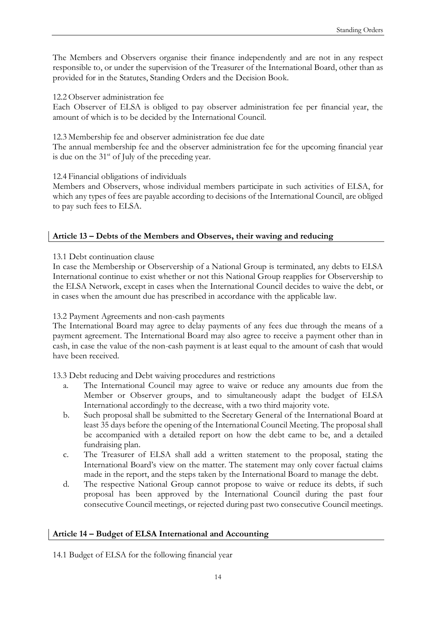The Members and Observers organise their finance independently and are not in any respect responsible to, or under the supervision of the Treasurer of the International Board, other than as provided for in the Statutes, Standing Orders and the Decision Book.

12.2 Observer administration fee

Each Observer of ELSA is obliged to pay observer administration fee per financial year, the amount of which is to be decided by the International Council.

12.3 Membership fee and observer administration fee due date

The annual membership fee and the observer administration fee for the upcoming financial year is due on the  $31<sup>st</sup>$  of July of the preceding year.

12.4 Financial obligations of individuals

Members and Observers, whose individual members participate in such activities of ELSA, for which any types of fees are payable according to decisions of the International Council, are obliged to pay such fees to ELSA.

#### **Article 13 – Debts of the Members and Observes, their waving and reducing**

13.1 Debt continuation clause

In case the Membership or Observership of a National Group is terminated, any debts to ELSA International continue to exist whether or not this National Group reapplies for Observership to the ELSA Network, except in cases when the International Council decides to waive the debt, or in cases when the amount due has prescribed in accordance with the applicable law.

13.2 Payment Agreements and non-cash payments

The International Board may agree to delay payments of any fees due through the means of a payment agreement. The International Board may also agree to receive a payment other than in cash, in case the value of the non-cash payment is at least equal to the amount of cash that would have been received.

13.3 Debt reducing and Debt waiving procedures and restrictions

- a. The International Council may agree to waive or reduce any amounts due from the Member or Observer groups, and to simultaneously adapt the budget of ELSA International accordingly to the decrease, with a two third majority vote.
- b. Such proposal shall be submitted to the Secretary General of the International Board at least 35 days before the opening of the International Council Meeting. The proposal shall be accompanied with a detailed report on how the debt came to be, and a detailed fundraising plan.
- c. The Treasurer of ELSA shall add a written statement to the proposal, stating the International Board's view on the matter. The statement may only cover factual claims made in the report, and the steps taken by the International Board to manage the debt.
- d. The respective National Group cannot propose to waive or reduce its debts, if such proposal has been approved by the International Council during the past four consecutive Council meetings, or rejected during past two consecutive Council meetings.

#### **Article 14 – Budget of ELSA International and Accounting**

14.1 Budget of ELSA for the following financial year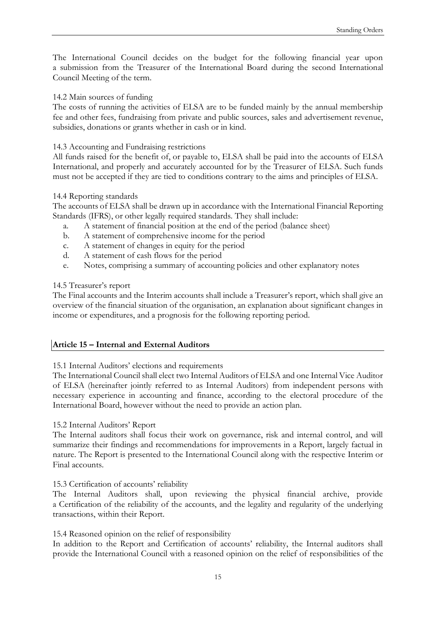The International Council decides on the budget for the following financial year upon a submission from the Treasurer of the International Board during the second International Council Meeting of the term.

#### 14.2 Main sources of funding

The costs of running the activities of ELSA are to be funded mainly by the annual membership fee and other fees, fundraising from private and public sources, sales and advertisement revenue, subsidies, donations or grants whether in cash or in kind.

#### 14.3 Accounting and Fundraising restrictions

All funds raised for the benefit of, or payable to, ELSA shall be paid into the accounts of ELSA International, and properly and accurately accounted for by the Treasurer of ELSA. Such funds must not be accepted if they are tied to conditions contrary to the aims and principles of ELSA.

#### 14.4 Reporting standards

The accounts of ELSA shall be drawn up in accordance with the International Financial Reporting Standards (IFRS), or other legally required standards. They shall include:

- a. A statement of financial position at the end of the period (balance sheet)
- b. A statement of comprehensive income for the period
- c. A statement of changes in equity for the period
- d. A statement of cash flows for the period
- e. Notes, comprising a summary of accounting policies and other explanatory notes

#### 14.5 Treasurer's report

The Final accounts and the Interim accounts shall include a Treasurer's report, which shall give an overview of the financial situation of the organisation, an explanation about significant changes in income or expenditures, and a prognosis for the following reporting period.

#### **Article 15 – Internal and External Auditors**

#### 15.1 Internal Auditors' elections and requirements

The International Council shall elect two Internal Auditors of ELSA and one Internal Vice Auditor of ELSA (hereinafter jointly referred to as Internal Auditors) from independent persons with necessary experience in accounting and finance, according to the electoral procedure of the International Board, however without the need to provide an action plan.

#### 15.2 Internal Auditors' Report

The Internal auditors shall focus their work on governance, risk and internal control, and will summarize their findings and recommendations for improvements in a Report, largely factual in nature. The Report is presented to the International Council along with the respective Interim or Final accounts.

#### 15.3 Certification of accounts' reliability

The Internal Auditors shall, upon reviewing the physical financial archive, provide a Certification of the reliability of the accounts, and the legality and regularity of the underlying transactions, within their Report.

#### 15.4 Reasoned opinion on the relief of responsibility

In addition to the Report and Certification of accounts' reliability, the Internal auditors shall provide the International Council with a reasoned opinion on the relief of responsibilities of the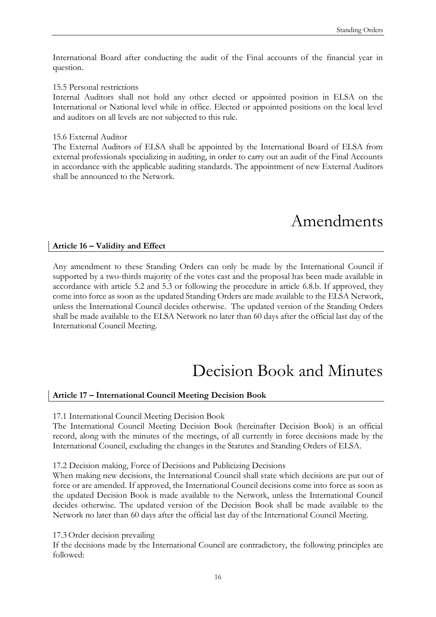International Board after conducting the audit of the Final accounts of the financial year in question.

#### 15.5 Personal restrictions

Internal Auditors shall not hold any other elected or appointed position in ELSA on the International or National level while in office. Elected or appointed positions on the local level and auditors on all levels are not subjected to this rule.

#### 15.6 External Auditor

The External Auditors of ELSA shall be appointed by the International Board of ELSA from external professionals specializing in auditing, in order to carry out an audit of the Final Accounts in accordance with the applicable auditing standards. The appointment of new External Auditors shall be announced to the Network.

# Amendments

#### **Article 16 – Validity and Effect**

Any amendment to these Standing Orders can only be made by the International Council if supported by a two-thirds majority of the votes cast and the proposal has been made available in accordance with article 5.2 and 5.3 or following the procedure in article 6.8.b. If approved, they come into force as soon as the updated Standing Orders are made available to the ELSA Network, unless the International Council decides otherwise. The updated version of the Standing Orders shall be made available to the ELSA Network no later than 60 days after the official last day of the International Council Meeting.

## Decision Book and Minutes

#### **Article 17 – International Council Meeting Decision Book**

17.1 International Council Meeting Decision Book

The International Council Meeting Decision Book (hereinafter Decision Book) is an official record, along with the minutes of the meetings, of all currently in force decisions made by the International Council, excluding the changes in the Statutes and Standing Orders of ELSA.

17.2 Decision making, Force of Decisions and Publicizing Decisions

When making new decisions, the International Council shall state which decisions are put out of force or are amended. If approved, the International Council decisions come into force as soon as the updated Decision Book is made available to the Network, unless the International Council decides otherwise. The updated version of the Decision Book shall be made available to the Network no later than 60 days after the official last day of the International Council Meeting.

17.3 Order decision prevailing

If the decisions made by the International Council are contradictory, the following principles are followed: